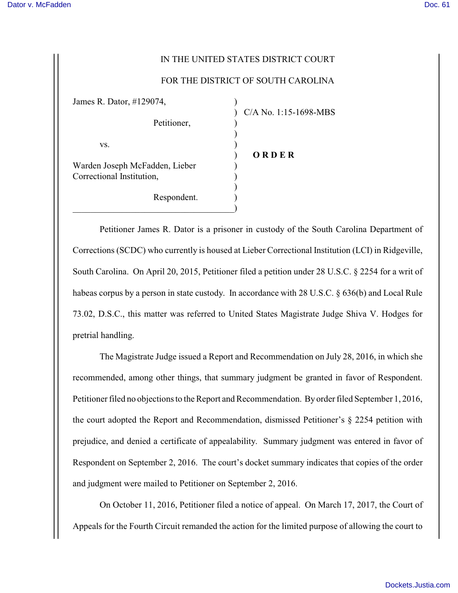## IN THE UNITED STATES DISTRICT COURT

## FOR THE DISTRICT OF SOUTH CAROLINA

| James R. Dator, #129074,                                    |                       |
|-------------------------------------------------------------|-----------------------|
| Petitioner,                                                 | C/A No. 1:15-1698-MBS |
| VS.                                                         |                       |
| Warden Joseph McFadden, Lieber<br>Correctional Institution, | ORDER                 |
| Respondent.                                                 |                       |

Petitioner James R. Dator is a prisoner in custody of the South Carolina Department of Corrections (SCDC) who currently is housed at Lieber Correctional Institution (LCI) in Ridgeville, South Carolina. On April 20, 2015, Petitioner filed a petition under 28 U.S.C. § 2254 for a writ of habeas corpus by a person in state custody. In accordance with 28 U.S.C. § 636(b) and Local Rule 73.02, D.S.C., this matter was referred to United States Magistrate Judge Shiva V. Hodges for pretrial handling.

The Magistrate Judge issued a Report and Recommendation on July 28, 2016, in which she recommended, among other things, that summary judgment be granted in favor of Respondent. Petitioner filed no objections to the Report and Recommendation. By order filed September 1, 2016, the court adopted the Report and Recommendation, dismissed Petitioner's § 2254 petition with prejudice, and denied a certificate of appealability. Summary judgment was entered in favor of Respondent on September 2, 2016. The court's docket summary indicates that copies of the order and judgment were mailed to Petitioner on September 2, 2016.

On October 11, 2016, Petitioner filed a notice of appeal. On March 17, 2017, the Court of Appeals for the Fourth Circuit remanded the action for the limited purpose of allowing the court to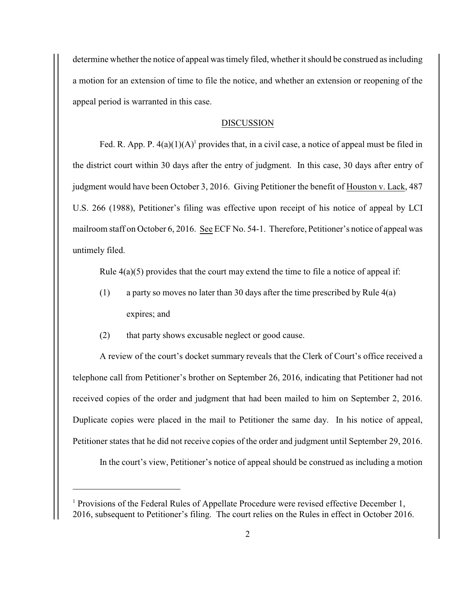determine whether the notice of appeal was timely filed, whether it should be construed as including a motion for an extension of time to file the notice, and whether an extension or reopening of the appeal period is warranted in this case.

## DISCUSSION

Fed. R. App. P.  $4(a)(1)(A)^{1}$  provides that, in a civil case, a notice of appeal must be filed in the district court within 30 days after the entry of judgment. In this case, 30 days after entry of judgment would have been October 3, 2016. Giving Petitioner the benefit of Houston v. Lack, 487 U.S. 266 (1988), Petitioner's filing was effective upon receipt of his notice of appeal by LCI mailroom staff on October 6, 2016. See ECF No. 54-1. Therefore, Petitioner's notice of appeal was untimely filed.

Rule  $4(a)(5)$  provides that the court may extend the time to file a notice of appeal if:

- (1) a party so moves no later than 30 days after the time prescribed by Rule 4(a) expires; and
- (2) that party shows excusable neglect or good cause.

A review of the court's docket summary reveals that the Clerk of Court's office received a telephone call from Petitioner's brother on September 26, 2016, indicating that Petitioner had not received copies of the order and judgment that had been mailed to him on September 2, 2016. Duplicate copies were placed in the mail to Petitioner the same day. In his notice of appeal, Petitioner states that he did not receive copies of the order and judgment until September 29, 2016.

In the court's view, Petitioner's notice of appeal should be construed as including a motion

<sup>&</sup>lt;sup>1</sup> Provisions of the Federal Rules of Appellate Procedure were revised effective December 1, 2016, subsequent to Petitioner's filing. The court relies on the Rules in effect in October 2016.